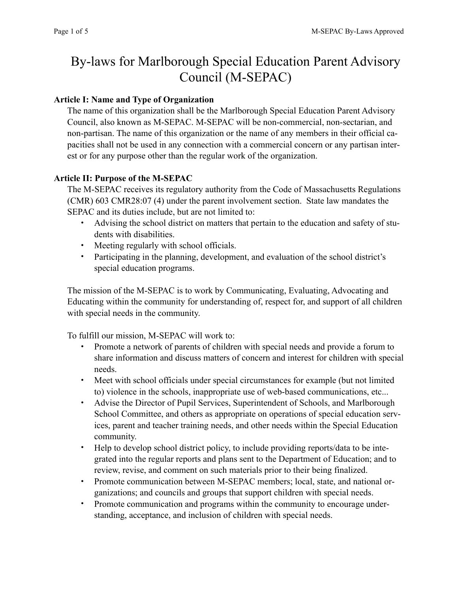# By-laws for Marlborough Special Education Parent Advisory Council (M-SEPAC)

# **Article I: Name and Type of Organization**

The name of this organization shall be the Marlborough Special Education Parent Advisory Council, also known as M-SEPAC. M-SEPAC will be non-commercial, non-sectarian, and non-partisan. The name of this organization or the name of any members in their official capacities shall not be used in any connection with a commercial concern or any partisan interest or for any purpose other than the regular work of the organization.

# **Article II: Purpose of the M-SEPAC**

The M-SEPAC receives its regulatory authority from the Code of Massachusetts Regulations (CMR) 603 CMR28:07 (4) under the parent involvement section. State law mandates the SEPAC and its duties include, but are not limited to:

- Advising the school district on matters that pertain to the education and safety of students with disabilities.
- Meeting regularly with school officials.
- Participating in the planning, development, and evaluation of the school district's special education programs.

The mission of the M-SEPAC is to work by Communicating, Evaluating, Advocating and Educating within the community for understanding of, respect for, and support of all children with special needs in the community.

To fulfill our mission, M-SEPAC will work to:

- Promote a network of parents of children with special needs and provide a forum to share information and discuss matters of concern and interest for children with special needs.
- Meet with school officials under special circumstances for example (but not limited to) violence in the schools, inappropriate use of web-based communications, etc...
- Advise the Director of Pupil Services, Superintendent of Schools, and Marlborough School Committee, and others as appropriate on operations of special education services, parent and teacher training needs, and other needs within the Special Education community.
- Help to develop school district policy, to include providing reports/data to be integrated into the regular reports and plans sent to the Department of Education; and to review, revise, and comment on such materials prior to their being finalized.
- Promote communication between M-SEPAC members; local, state, and national organizations; and councils and groups that support children with special needs.
- Promote communication and programs within the community to encourage understanding, acceptance, and inclusion of children with special needs.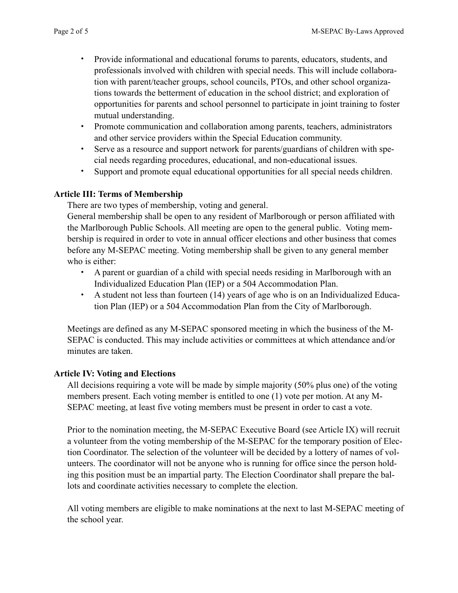- Provide informational and educational forums to parents, educators, students, and professionals involved with children with special needs. This will include collaboration with parent/teacher groups, school councils, PTOs, and other school organizations towards the betterment of education in the school district; and exploration of opportunities for parents and school personnel to participate in joint training to foster mutual understanding.
- Promote communication and collaboration among parents, teachers, administrators and other service providers within the Special Education community.
- Serve as a resource and support network for parents/guardians of children with special needs regarding procedures, educational, and non-educational issues.
- Support and promote equal educational opportunities for all special needs children.

## **Article III: Terms of Membership**

There are two types of membership, voting and general.

General membership shall be open to any resident of Marlborough or person affiliated with the Marlborough Public Schools. All meeting are open to the general public. Voting membership is required in order to vote in annual officer elections and other business that comes before any M-SEPAC meeting. Voting membership shall be given to any general member who is either:

- A parent or guardian of a child with special needs residing in Marlborough with an Individualized Education Plan (IEP) or a 504 Accommodation Plan.
- A student not less than fourteen (14) years of age who is on an Individualized Education Plan (IEP) or a 504 Accommodation Plan from the City of Marlborough.

Meetings are defined as any M-SEPAC sponsored meeting in which the business of the M-SEPAC is conducted. This may include activities or committees at which attendance and/or minutes are taken.

### **Article IV: Voting and Elections**

All decisions requiring a vote will be made by simple majority (50% plus one) of the voting members present. Each voting member is entitled to one (1) vote per motion. At any M-SEPAC meeting, at least five voting members must be present in order to cast a vote.

Prior to the nomination meeting, the M-SEPAC Executive Board (see Article IX) will recruit a volunteer from the voting membership of the M-SEPAC for the temporary position of Election Coordinator. The selection of the volunteer will be decided by a lottery of names of volunteers. The coordinator will not be anyone who is running for office since the person holding this position must be an impartial party. The Election Coordinator shall prepare the ballots and coordinate activities necessary to complete the election.

All voting members are eligible to make nominations at the next to last M-SEPAC meeting of the school year.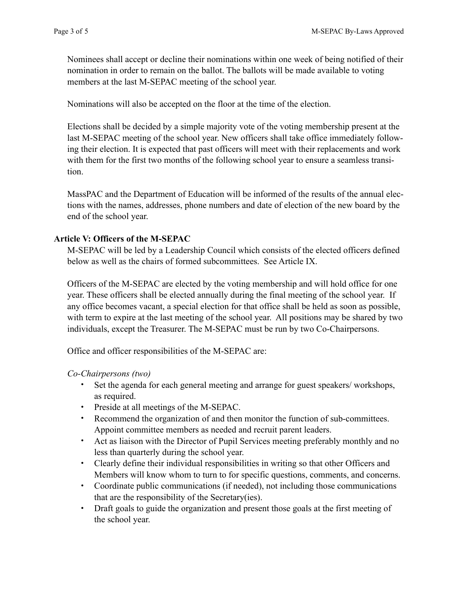Nominees shall accept or decline their nominations within one week of being notified of their nomination in order to remain on the ballot. The ballots will be made available to voting members at the last M-SEPAC meeting of the school year.

Nominations will also be accepted on the floor at the time of the election.

Elections shall be decided by a simple majority vote of the voting membership present at the last M-SEPAC meeting of the school year. New officers shall take office immediately following their election. It is expected that past officers will meet with their replacements and work with them for the first two months of the following school year to ensure a seamless transition.

MassPAC and the Department of Education will be informed of the results of the annual elections with the names, addresses, phone numbers and date of election of the new board by the end of the school year.

## **Article V: Officers of the M-SEPAC**

M-SEPAC will be led by a Leadership Council which consists of the elected officers defined below as well as the chairs of formed subcommittees. See Article IX.

Officers of the M-SEPAC are elected by the voting membership and will hold office for one year. These officers shall be elected annually during the final meeting of the school year. If any office becomes vacant, a special election for that office shall be held as soon as possible, with term to expire at the last meeting of the school year. All positions may be shared by two individuals, except the Treasurer. The M-SEPAC must be run by two Co-Chairpersons.

Office and officer responsibilities of the M-SEPAC are:

*Co-Chairpersons (two)*

- Set the agenda for each general meeting and arrange for guest speakers/ workshops, as required.
- Preside at all meetings of the M-SEPAC.
- Recommend the organization of and then monitor the function of sub-committees. Appoint committee members as needed and recruit parent leaders.
- Act as liaison with the Director of Pupil Services meeting preferably monthly and no less than quarterly during the school year.
- Clearly define their individual responsibilities in writing so that other Officers and Members will know whom to turn to for specific questions, comments, and concerns.
- Coordinate public communications (if needed), not including those communications that are the responsibility of the Secretary(ies).
- Draft goals to guide the organization and present those goals at the first meeting of the school year.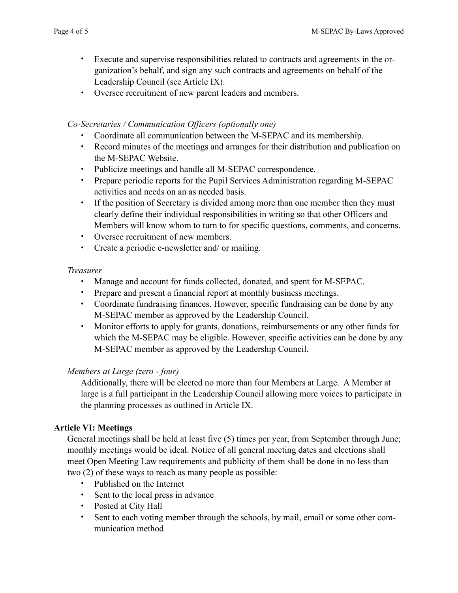- Execute and supervise responsibilities related to contracts and agreements in the organization's behalf, and sign any such contracts and agreements on behalf of the Leadership Council (see Article IX).
- Oversee recruitment of new parent leaders and members.

#### *Co-Secretaries / Communication Officers (optionally one)*

- Coordinate all communication between the M-SEPAC and its membership.
- Record minutes of the meetings and arranges for their distribution and publication on the M-SEPAC Website.
- Publicize meetings and handle all M-SEPAC correspondence.
- Prepare periodic reports for the Pupil Services Administration regarding M-SEPAC activities and needs on an as needed basis.
- If the position of Secretary is divided among more than one member then they must clearly define their individual responsibilities in writing so that other Officers and Members will know whom to turn to for specific questions, comments, and concerns.
- Oversee recruitment of new members.
- Create a periodic e-newsletter and/ or mailing.

### *Treasurer*

- Manage and account for funds collected, donated, and spent for M-SEPAC.
- Prepare and present a financial report at monthly business meetings.
- Coordinate fundraising finances. However, specific fundraising can be done by any M-SEPAC member as approved by the Leadership Council.
- Monitor efforts to apply for grants, donations, reimbursements or any other funds for which the M-SEPAC may be eligible. However, specific activities can be done by any M-SEPAC member as approved by the Leadership Council.

### *Members at Large (zero - four)*

Additionally, there will be elected no more than four Members at Large. A Member at large is a full participant in the Leadership Council allowing more voices to participate in the planning processes as outlined in Article IX.

### **Article VI: Meetings**

General meetings shall be held at least five (5) times per year, from September through June; monthly meetings would be ideal. Notice of all general meeting dates and elections shall meet Open Meeting Law requirements and publicity of them shall be done in no less than two (2) of these ways to reach as many people as possible:

- Published on the Internet
- Sent to the local press in advance
- Posted at City Hall
- Sent to each voting member through the schools, by mail, email or some other communication method